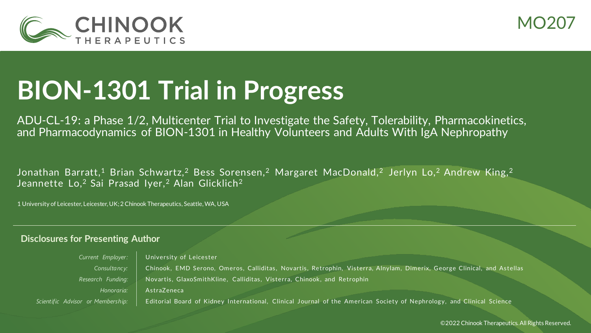



# **BION-1301 Trial in Progress**

ADU-CL-19: a Phase 1/2, Multicenter Trial to Investigate the Safety, Tolerability, Pharmacokinetics, and Pharmacodynamics of BION-1301 in Healthy Volunteers and Adults With IgA Nephropathy

Jonathan Barratt,<sup>1</sup> Brian Schwartz,<sup>2</sup> Bess Sorensen,<sup>2</sup> Margaret MacDonald,<sup>2</sup> Jerlyn Lo,<sup>2</sup> Andrew King,<sup>2</sup> Jeannette Lo,<sup>2</sup> Sai Prasad Iyer,<sup>2</sup> Alan Glicklich<sup>2</sup>

1 University of Leicester, Leicester, UK; 2 Chinook Therapeutics, Seattle, WA, USA

#### **Disclosures for Presenting Author**

*Current Employer:* University of Leicester *Consultancy:* Chinook, EMD Serono, Omeros, Calliditas , Novartis, Retrophin, Visterra, Alnylam, Dimerix, George Clinical, and Astellas Research Funding: Novartis, GlaxoSmithKline, Calliditas, Visterra, Chinook, and Retrophin *Honoraria:* AstraZeneca *Scientific Advisor or Membership:* Editorial Board of Kidney International, Clinical Journal of the American Society of Nephrology, and Clinical Science

©2022 Chinook Therapeutics. All Rights Reserved.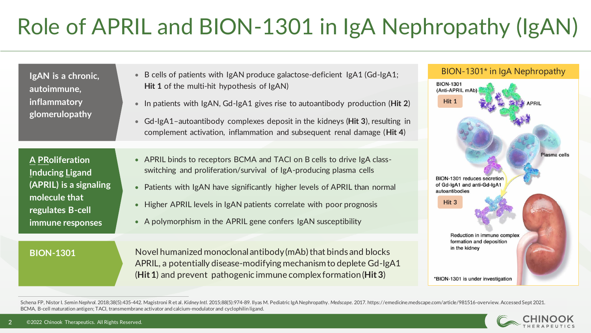# Role of APRIL and BION-1301 in IgA Nephropathy (IgAN)

| IgAN is a chronic,<br>autoimmune,<br>inflammatory<br>glomerulopathy                                                                 | B cells of patients with IgAN produce galactose-deficient IgA1 (Gd-IgA1;<br>$\bullet$<br><b>Hit 1</b> of the multi-hit hypothesis of IgAN)<br>In patients with IgAN, Gd-IgA1 gives rise to autoantibody production (Hit 2)<br>$\bullet$<br>• Gd-lgA1-autoantibody complexes deposit in the kidneys (Hit 3), resulting in                                                                    | BION-1301* in IgA Nephropathy<br><b>BION-1301</b><br>(Anti-APRIL mAb)<br>Hit 1<br><b>APRIL</b>                |
|-------------------------------------------------------------------------------------------------------------------------------------|---------------------------------------------------------------------------------------------------------------------------------------------------------------------------------------------------------------------------------------------------------------------------------------------------------------------------------------------------------------------------------------------|---------------------------------------------------------------------------------------------------------------|
|                                                                                                                                     | complement activation, inflammation and subsequent renal damage (Hit 4)                                                                                                                                                                                                                                                                                                                     |                                                                                                               |
| <b>A PRoliferation</b><br><b>Inducing Ligand</b><br>(APRIL) is a signaling<br>molecule that<br>regulates B-cell<br>immune responses | • APRIL binds to receptors BCMA and TACI on B cells to drive IgA class-<br>switching and proliferation/survival of IgA-producing plasma cells<br>Patients with IgAN have significantly higher levels of APRIL than normal<br>$\bullet$<br>Higher APRIL levels in IgAN patients correlate with poor prognosis<br>$\bullet$<br>• A polymorphism in the APRIL gene confers IgAN susceptibility | Plasma cells<br>BION-1301 reduces secretion<br>of Gd-IgA1 and anti-Gd-IgA1<br>autoantibodies<br>Hit 3         |
| <b>BION-1301</b>                                                                                                                    | Novel humanized monoclonal antibody (mAb) that binds and blocks<br>APRIL, a potentially disease-modifying mechanism to deplete Gd-IgA1<br>$(Hit 1)$ and prevent pathogenic immune complex formation (Hit 3)                                                                                                                                                                                 | Reduction in immune complex<br>formation and deposition<br>in the kidney<br>*BION-1301 is under investigation |

Schena FP, Nistor I. Semin Nephrol. 2018;38(5):435-442. Magistroni Retal. Kidney Intl. 2015;88(5):974-89. Ilyas M. Pediatric IgA Nephropathy. Medscape. 2017. https://emedicine.medscape.com/article/981516-overview. Accessed BCMA, B-cell maturation antigen; TACI, transmembrane activator and calcium-modulator and cyclophilin ligand.

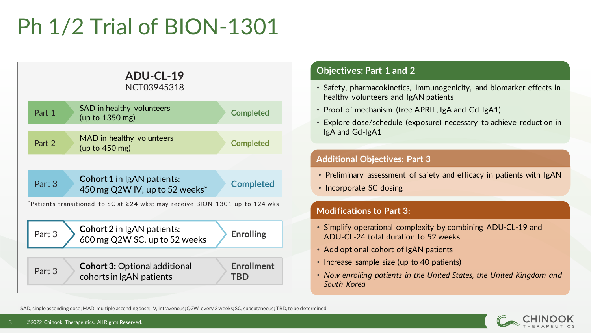# Ph 1/2 Trial of BION-1301



### **Objectives: Part 1 and 2**

- Safety, pharmacokinetics, immunogenicity, and biomarker effects in healthy volunteers and IgAN patients
- Proof of mechanism (free APRIL, IgA and Gd-IgA1)
- Explore dose/schedule (exposure) necessary to achieve reduction in IgA and Gd-IgA1

#### **Additional Objectives: Part 3**

- Preliminary assessment of safety and efficacy in patients with IgAN
- Incorporate SC dosing

#### **Modifications to Part 3:**

- Simplify operational complexity by combining ADU-CL-19 and ADU-CL-24 total duration to 52 weeks
- Add optional cohort of IgAN patients
- Increase sample size (up to 40 patients)
- *Now enrolling patients in the United States, the United Kingdom and South Korea*

SAD, single ascending dose; MAD, multiple ascending dose; IV, intravenous; Q2W, every 2 weeks; SC, subcutaneous; TBD, to be determined.

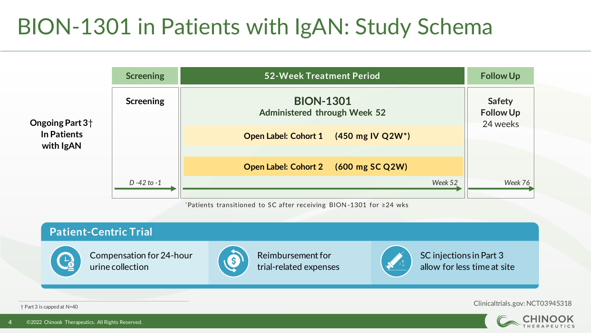### BION-1301 in Patients with IgAN: Study Schema



\*Patients transitioned to SC after receiving BION -1301 for ≥24 wks

#### **Patient-Centric Trial** Reimbursement for Compensation for 24-hour SC injections in Part 3 (S) urine collection allow for less time at site trial-related expenses

† Part 3 is capped at N=40

Clinicaltrials.gov: NCT03945318